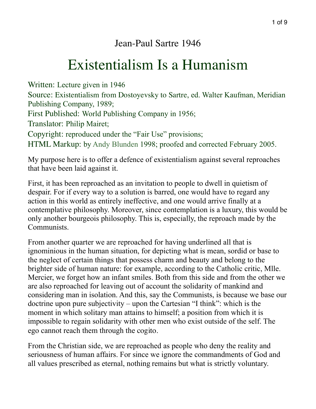## Jean-Paul Sartre 1946

## Existentialism Is a Humanism

Written: Lecture given in 1946

Source: Existentialism from Dostoyevsky to Sartre, ed. Walter Kaufman, Meridian Publishing Company, 1989;

First Published: World Publishing Company in 1956;

Translator: Philip Mairet;

Copyright: reproduced under the "Fair Use" provisions;

HTML Markup: by Andy Blunden 1998; proofed and corrected February 2005.

My purpose here is to offer a defence of existentialism against several reproaches that have been laid against it.

First, it has been reproached as an invitation to people to dwell in quietism of despair. For if every way to a solution is barred, one would have to regard any action in this world as entirely ineffective, and one would arrive finally at a contemplative philosophy. Moreover, since contemplation is a luxury, this would be only another bourgeois philosophy. This is, especially, the reproach made by the Communists.

From another quarter we are reproached for having underlined all that is ignominious in the human situation, for depicting what is mean, sordid or base to the neglect of certain things that possess charm and beauty and belong to the brighter side of human nature: for example, according to the Catholic critic, Mlle. Mercier, we forget how an infant smiles. Both from this side and from the other we are also reproached for leaving out of account the solidarity of mankind and considering man in isolation. And this, say the Communists, is because we base our doctrine upon pure subjectivity – upon the Cartesian "I think": which is the moment in which solitary man attains to himself; a position from which it is impossible to regain solidarity with other men who exist outside of the self. The ego cannot reach them through the cogito.

From the Christian side, we are reproached as people who deny the reality and seriousness of human affairs. For since we ignore the commandments of God and all values prescribed as eternal, nothing remains but what is strictly voluntary.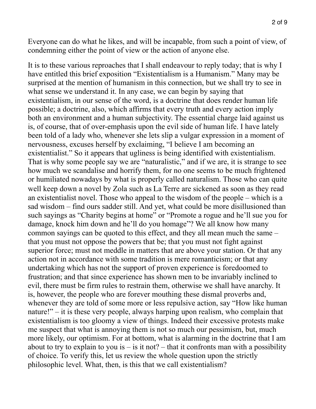Everyone can do what he likes, and will be incapable, from such a point of view, of condemning either the point of view or the action of anyone else.

It is to these various reproaches that I shall endeavour to reply today; that is why I have entitled this brief exposition "Existentialism is a Humanism." Many may be surprised at the mention of humanism in this connection, but we shall try to see in what sense we understand it. In any case, we can begin by saying that existentialism, in our sense of the word, is a doctrine that does render human life possible; a doctrine, also, which affirms that every truth and every action imply both an environment and a human subjectivity. The essential charge laid against us is, of course, that of over-emphasis upon the evil side of human life. I have lately been told of a lady who, whenever she lets slip a vulgar expression in a moment of nervousness, excuses herself by exclaiming, "I believe I am becoming an existentialist." So it appears that ugliness is being identified with existentialism. That is why some people say we are "naturalistic," and if we are, it is strange to see how much we scandalise and horrify them, for no one seems to be much frightened or humiliated nowadays by what is properly called naturalism. Those who can quite well keep down a novel by Zola such as La Terre are sickened as soon as they read an existentialist novel. Those who appeal to the wisdom of the people – which is a sad wisdom – find ours sadder still. And yet, what could be more disillusioned than such sayings as "Charity begins at home" or "Promote a rogue and he'll sue you for damage, knock him down and he'll do you homage"? We all know how many common sayings can be quoted to this effect, and they all mean much the same – that you must not oppose the powers that be; that you must not fight against superior force; must not meddle in matters that are above your station. Or that any action not in accordance with some tradition is mere romanticism; or that any undertaking which has not the support of proven experience is foredoomed to frustration; and that since experience has shown men to be invariably inclined to evil, there must be firm rules to restrain them, otherwise we shall have anarchy. It is, however, the people who are forever mouthing these dismal proverbs and, whenever they are told of some more or less repulsive action, say "How like human nature!" – it is these very people, always harping upon realism, who complain that existentialism is too gloomy a view of things. Indeed their excessive protests make me suspect that what is annoying them is not so much our pessimism, but, much more likely, our optimism. For at bottom, what is alarming in the doctrine that I am about to try to explain to you is – is it not? – that it confronts man with a possibility of choice. To verify this, let us review the whole question upon the strictly philosophic level. What, then, is this that we call existentialism?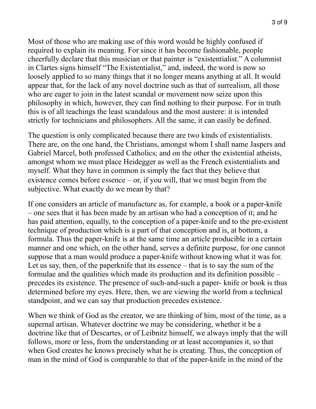Most of those who are making use of this word would be highly confused if required to explain its meaning. For since it has become fashionable, people cheerfully declare that this musician or that painter is "existentialist." A columnist in Clartes signs himself "The Existentialist," and, indeed, the word is now so loosely applied to so many things that it no longer means anything at all. It would appear that, for the lack of any novel doctrine such as that of surrealism, all those who are eager to join in the latest scandal or movement now seize upon this philosophy in which, however, they can find nothing to their purpose. For in truth this is of all teachings the least scandalous and the most austere: it is intended strictly for technicians and philosophers. All the same, it can easily be defined.

The question is only complicated because there are two kinds of existentialists. There are, on the one hand, the Christians, amongst whom I shall name Jaspers and Gabriel Marcel, both professed Catholics; and on the other the existential atheists, amongst whom we must place Heidegger as well as the French existentialists and myself. What they have in common is simply the fact that they believe that existence comes before essence  $-$  or, if you will, that we must begin from the subjective. What exactly do we mean by that?

If one considers an article of manufacture as, for example, a book or a paper-knife – one sees that it has been made by an artisan who had a conception of it; and he has paid attention, equally, to the conception of a paper-knife and to the pre-existent technique of production which is a part of that conception and is, at bottom, a formula. Thus the paper-knife is at the same time an article producible in a certain manner and one which, on the other hand, serves a definite purpose, for one cannot suppose that a man would produce a paper-knife without knowing what it was for. Let us say, then, of the paperknife that its essence – that is to say the sum of the formulae and the qualities which made its production and its definition possible – precedes its existence. The presence of such-and-such a paper- knife or book is thus determined before my eyes. Here, then, we are viewing the world from a technical standpoint, and we can say that production precedes existence.

When we think of God as the creator, we are thinking of him, most of the time, as a supernal artisan. Whatever doctrine we may be considering, whether it be a doctrine like that of Descartes, or of Leibnitz himself, we always imply that the will follows, more or less, from the understanding or at least accompanies it, so that when God creates he knows precisely what he is creating. Thus, the conception of man in the mind of God is comparable to that of the paper-knife in the mind of the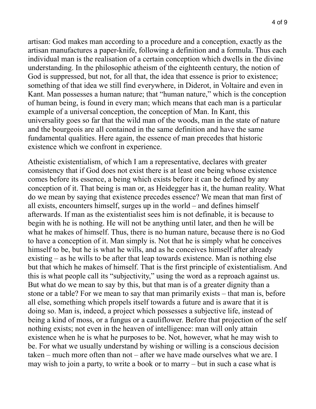artisan: God makes man according to a procedure and a conception, exactly as the artisan manufactures a paper-knife, following a definition and a formula. Thus each individual man is the realisation of a certain conception which dwells in the divine understanding. In the philosophic atheism of the eighteenth century, the notion of God is suppressed, but not, for all that, the idea that essence is prior to existence; something of that idea we still find everywhere, in Diderot, in Voltaire and even in Kant. Man possesses a human nature; that "human nature," which is the conception of human being, is found in every man; which means that each man is a particular example of a universal conception, the conception of Man. In Kant, this universality goes so far that the wild man of the woods, man in the state of nature and the bourgeois are all contained in the same definition and have the same fundamental qualities. Here again, the essence of man precedes that historic existence which we confront in experience.

Atheistic existentialism, of which I am a representative, declares with greater consistency that if God does not exist there is at least one being whose existence comes before its essence, a being which exists before it can be defined by any conception of it. That being is man or, as Heidegger has it, the human reality. What do we mean by saying that existence precedes essence? We mean that man first of all exists, encounters himself, surges up in the world – and defines himself afterwards. If man as the existentialist sees him is not definable, it is because to begin with he is nothing. He will not be anything until later, and then he will be what he makes of himself. Thus, there is no human nature, because there is no God to have a conception of it. Man simply is. Not that he is simply what he conceives himself to be, but he is what he wills, and as he conceives himself after already existing – as he wills to be after that leap towards existence. Man is nothing else but that which he makes of himself. That is the first principle of existentialism. And this is what people call its "subjectivity," using the word as a reproach against us. But what do we mean to say by this, but that man is of a greater dignity than a stone or a table? For we mean to say that man primarily exists – that man is, before all else, something which propels itself towards a future and is aware that it is doing so. Man is, indeed, a project which possesses a subjective life, instead of being a kind of moss, or a fungus or a cauliflower. Before that projection of the self nothing exists; not even in the heaven of intelligence: man will only attain existence when he is what he purposes to be. Not, however, what he may wish to be. For what we usually understand by wishing or willing is a conscious decision taken – much more often than not – after we have made ourselves what we are. I may wish to join a party, to write a book or to marry – but in such a case what is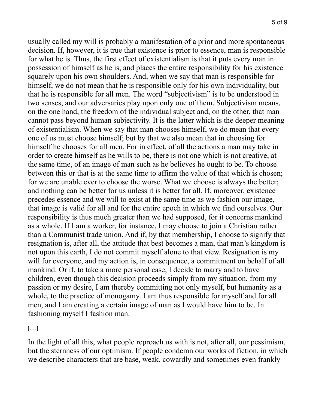usually called my will is probably a manifestation of a prior and more spontaneous decision. If, however, it is true that existence is prior to essence, man is responsible for what he is. Thus, the first effect of existentialism is that it puts every man in possession of himself as he is, and places the entire responsibility for his existence squarely upon his own shoulders. And, when we say that man is responsible for himself, we do not mean that he is responsible only for his own individuality, but that he is responsible for all men. The word "subjectivism" is to be understood in two senses, and our adversaries play upon only one of them. Subjectivism means, on the one hand, the freedom of the individual subject and, on the other, that man cannot pass beyond human subjectivity. It is the latter which is the deeper meaning of existentialism. When we say that man chooses himself, we do mean that every one of us must choose himself; but by that we also mean that in choosing for himself he chooses for all men. For in effect, of all the actions a man may take in order to create himself as he wills to be, there is not one which is not creative, at the same time, of an image of man such as he believes he ought to be. To choose between this or that is at the same time to affirm the value of that which is chosen; for we are unable ever to choose the worse. What we choose is always the better; and nothing can be better for us unless it is better for all. If, moreover, existence precedes essence and we will to exist at the same time as we fashion our image, that image is valid for all and for the entire epoch in which we find ourselves. Our responsibility is thus much greater than we had supposed, for it concerns mankind as a whole. If I am a worker, for instance, I may choose to join a Christian rather than a Communist trade union. And if, by that membership, I choose to signify that resignation is, after all, the attitude that best becomes a man, that man's kingdom is not upon this earth, I do not commit myself alone to that view. Resignation is my will for everyone, and my action is, in consequence, a commitment on behalf of all mankind. Or if, to take a more personal case, I decide to marry and to have children, even though this decision proceeds simply from my situation, from my passion or my desire, I am thereby committing not only myself, but humanity as a whole, to the practice of monogamy. I am thus responsible for myself and for all men, and I am creating a certain image of man as I would have him to be. In fashioning myself I fashion man.

[…]

In the light of all this, what people reproach us with is not, after all, our pessimism, but the sternness of our optimism. If people condemn our works of fiction, in which we describe characters that are base, weak, cowardly and sometimes even frankly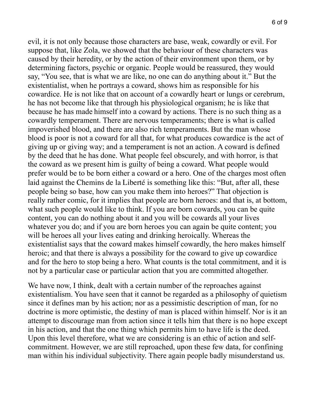evil, it is not only because those characters are base, weak, cowardly or evil. For suppose that, like Zola, we showed that the behaviour of these characters was caused by their heredity, or by the action of their environment upon them, or by determining factors, psychic or organic. People would be reassured, they would say, "You see, that is what we are like, no one can do anything about it." But the existentialist, when he portrays a coward, shows him as responsible for his cowardice. He is not like that on account of a cowardly heart or lungs or cerebrum, he has not become like that through his physiological organism; he is like that because he has made himself into a coward by actions. There is no such thing as a cowardly temperament. There are nervous temperaments; there is what is called impoverished blood, and there are also rich temperaments. But the man whose blood is poor is not a coward for all that, for what produces cowardice is the act of giving up or giving way; and a temperament is not an action. A coward is defined by the deed that he has done. What people feel obscurely, and with horror, is that the coward as we present him is guilty of being a coward. What people would prefer would be to be born either a coward or a hero. One of the charges most often laid against the Chemins de la Liberté is something like this: "But, after all, these people being so base, how can you make them into heroes?" That objection is really rather comic, for it implies that people are born heroes: and that is, at bottom, what such people would like to think. If you are born cowards, you can be quite content, you can do nothing about it and you will be cowards all your lives whatever you do; and if you are born heroes you can again be quite content; you will be heroes all your lives eating and drinking heroically. Whereas the existentialist says that the coward makes himself cowardly, the hero makes himself heroic; and that there is always a possibility for the coward to give up cowardice and for the hero to stop being a hero. What counts is the total commitment, and it is not by a particular case or particular action that you are committed altogether.

We have now, I think, dealt with a certain number of the reproaches against existentialism. You have seen that it cannot be regarded as a philosophy of quietism since it defines man by his action; nor as a pessimistic description of man, for no doctrine is more optimistic, the destiny of man is placed within himself. Nor is it an attempt to discourage man from action since it tells him that there is no hope except in his action, and that the one thing which permits him to have life is the deed. Upon this level therefore, what we are considering is an ethic of action and selfcommitment. However, we are still reproached, upon these few data, for confining man within his individual subjectivity. There again people badly misunderstand us.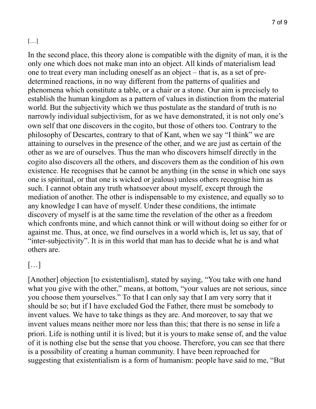In the second place, this theory alone is compatible with the dignity of man, it is the only one which does not make man into an object. All kinds of materialism lead one to treat every man including oneself as an object – that is, as a set of predetermined reactions, in no way different from the patterns of qualities and phenomena which constitute a table, or a chair or a stone. Our aim is precisely to establish the human kingdom as a pattern of values in distinction from the material world. But the subjectivity which we thus postulate as the standard of truth is no narrowly individual subjectivism, for as we have demonstrated, it is not only one's own self that one discovers in the cogito, but those of others too. Contrary to the philosophy of Descartes, contrary to that of Kant, when we say "I think" we are attaining to ourselves in the presence of the other, and we are just as certain of the other as we are of ourselves. Thus the man who discovers himself directly in the cogito also discovers all the others, and discovers them as the condition of his own existence. He recognises that he cannot be anything (in the sense in which one says one is spiritual, or that one is wicked or jealous) unless others recognise him as such. I cannot obtain any truth whatsoever about myself, except through the mediation of another. The other is indispensable to my existence, and equally so to any knowledge I can have of myself. Under these conditions, the intimate discovery of myself is at the same time the revelation of the other as a freedom which confronts mine, and which cannot think or will without doing so either for or against me. Thus, at once, we find ourselves in a world which is, let us say, that of "inter-subjectivity". It is in this world that man has to decide what he is and what others are.

## […]

[Another] objection [to existentialism], stated by saying, "You take with one hand what you give with the other," means, at bottom, "your values are not serious, since you choose them yourselves." To that I can only say that I am very sorry that it should be so; but if I have excluded God the Father, there must be somebody to invent values. We have to take things as they are. And moreover, to say that we invent values means neither more nor less than this; that there is no sense in life a priori. Life is nothing until it is lived; but it is yours to make sense of, and the value of it is nothing else but the sense that you choose. Therefore, you can see that there is a possibility of creating a human community. I have been reproached for suggesting that existentialism is a form of humanism: people have said to me, "But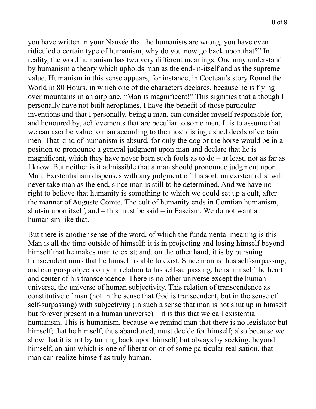you have written in your Nausée that the humanists are wrong, you have even ridiculed a certain type of humanism, why do you now go back upon that?" In reality, the word humanism has two very different meanings. One may understand by humanism a theory which upholds man as the end-in-itself and as the supreme value. Humanism in this sense appears, for instance, in Cocteau's story Round the World in 80 Hours, in which one of the characters declares, because he is flying over mountains in an airplane, "Man is magnificent!" This signifies that although I personally have not built aeroplanes, I have the benefit of those particular inventions and that I personally, being a man, can consider myself responsible for, and honoured by, achievements that are peculiar to some men. It is to assume that we can ascribe value to man according to the most distinguished deeds of certain men. That kind of humanism is absurd, for only the dog or the horse would be in a position to pronounce a general judgment upon man and declare that he is magnificent, which they have never been such fools as to  $d\sigma$  – at least, not as far as I know. But neither is it admissible that a man should pronounce judgment upon Man. Existentialism dispenses with any judgment of this sort: an existentialist will never take man as the end, since man is still to be determined. And we have no right to believe that humanity is something to which we could set up a cult, after the manner of Auguste Comte. The cult of humanity ends in Comtian humanism, shut-in upon itself, and – this must be said – in Fascism. We do not want a humanism like that.

But there is another sense of the word, of which the fundamental meaning is this: Man is all the time outside of himself: it is in projecting and losing himself beyond himself that he makes man to exist; and, on the other hand, it is by pursuing transcendent aims that he himself is able to exist. Since man is thus self-surpassing, and can grasp objects only in relation to his self-surpassing, he is himself the heart and center of his transcendence. There is no other universe except the human universe, the universe of human subjectivity. This relation of transcendence as constitutive of man (not in the sense that God is transcendent, but in the sense of self-surpassing) with subjectivity (in such a sense that man is not shut up in himself but forever present in a human universe) – it is this that we call existential humanism. This is humanism, because we remind man that there is no legislator but himself; that he himself, thus abandoned, must decide for himself; also because we show that it is not by turning back upon himself, but always by seeking, beyond himself, an aim which is one of liberation or of some particular realisation, that man can realize himself as truly human.